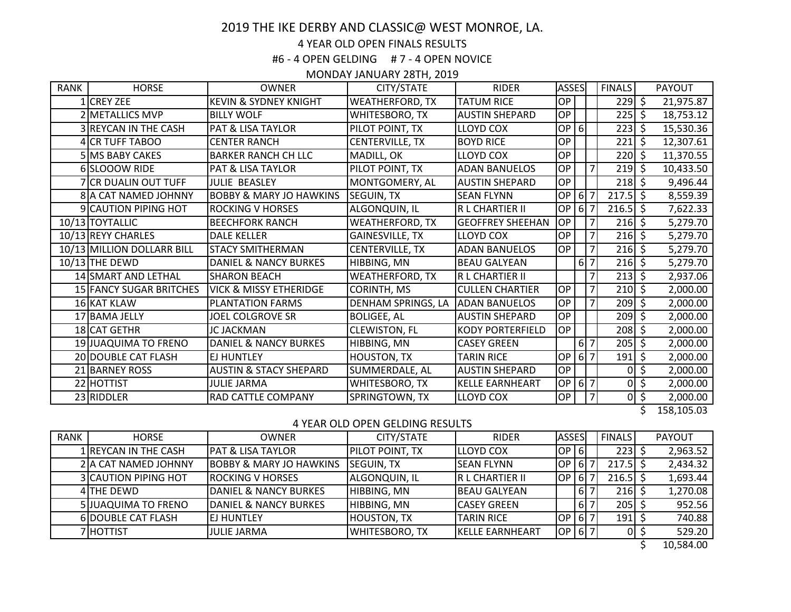# 2019 THE IKE DERBY AND CLASSIC@ WEST MONROE, LA.

## 4 YEAR OLD OPEN FINALS RESULTS

#6 - 4 OPEN GELDING # 7 - 4 OPEN NOVICE

### MONDAY JANUARY 28TH, 2019

| <b>RANK</b> | <b>HORSE</b>               | <b>OWNER</b>                       | CITY/STATE             | <b>RIDER</b>            | <b>ASSES</b> |                                | <b>FINALS</b>  |                        |              | PAYOUT     |
|-------------|----------------------------|------------------------------------|------------------------|-------------------------|--------------|--------------------------------|----------------|------------------------|--------------|------------|
|             | 1 CREY ZEE                 | <b>KEVIN &amp; SYDNEY KNIGHT</b>   | <b>WEATHERFORD, TX</b> | <b>TATUM RICE</b>       | OP           |                                |                | $229$ \$               |              | 21,975.87  |
|             | 2 METALLICS MVP            | <b>BILLY WOLF</b>                  | WHITESBORO, TX         | <b>AUSTIN SHEPARD</b>   | OP           |                                |                | $225$ \$               |              | 18,753.12  |
|             | 3 REYCAN IN THE CASH       | <b>PAT &amp; LISA TAYLOR</b>       | PILOT POINT, TX        | <b>LLOYD COX</b>        | <b>OP</b>    | $6 \mid$                       |                | 223                    | \$           | 15,530.36  |
|             | 4 CR TUFF TABOO            | <b>CENTER RANCH</b>                | CENTERVILLE, TX        | <b>BOYD RICE</b>        | OP           |                                |                | 221                    | \$           | 12,307.61  |
|             | 5 MS BABY CAKES            | <b>BARKER RANCH CH LLC</b>         | MADILL, OK             | <b>LLOYD COX</b>        | OP           |                                |                | $220 \mid \xi$         |              | 11,370.55  |
|             | 6 SLOOOW RIDE              | <b>PAT &amp; LISA TAYLOR</b>       | PILOT POINT, TX        | <b>ADAN BANUELOS</b>    | <b>OP</b>    |                                | 7              | $219$ \$               |              | 10,433.50  |
|             | <b>CR DUALIN OUT TUFF</b>  | <b>JULIE BEASLEY</b>               | MONTGOMERY, AL         | <b>AUSTIN SHEPARD</b>   | OP           |                                |                | $218 \, \zeta$         |              | 9,496.44   |
|             | 8 A CAT NAMED JOHNNY       | <b>BOBBY &amp; MARY JO HAWKINS</b> | <b>SEGUIN, TX</b>      | <b>SEAN FLYNN</b>       | OP           | $6 \overline{\smash{\big)}\,}$ |                | $217.5$ \$             |              | 8,559.39   |
|             | 9 CAUTION PIPING HOT       | <b>ROCKING V HORSES</b>            | ALGONQUIN, IL          | R L CHARTIER II         | <b>OP</b>    | $6 \overline{\smash{\big)}\,}$ |                | $216.5$ \$             |              | 7,622.33   |
|             | 10/13 TOYTALLIC            | <b>BEECHFORK RANCH</b>             | <b>WEATHERFORD, TX</b> | <b>GEOFFREY SHEEHAN</b> | <b>OP</b>    |                                | $\overline{7}$ | $216 \,$ \$            |              | 5,279.70   |
|             | 10/13 REYY CHARLES         | <b>DALE KELLER</b>                 | <b>GAINESVILLE, TX</b> | <b>LLOYD COX</b>        | <b>OP</b>    |                                | $\overline{7}$ | $216 \,$ \$            |              | 5,279.70   |
|             | 10/13 MILLION DOLLARR BILL | <b>STACY SMITHERMAN</b>            | <b>CENTERVILLE, TX</b> | <b>ADAN BANUELOS</b>    | <b>OP</b>    |                                | $\overline{7}$ | $216 \,$ \$            |              | 5,279.70   |
|             | 10/13 THE DEWD             | <b>DANIEL &amp; NANCY BURKES</b>   | HIBBING, MN            | <b>BEAU GALYEAN</b>     |              | 6 7                            |                | $216 \,$ \$            |              | 5,279.70   |
|             | 14 SMART AND LETHAL        | <b>SHARON BEACH</b>                | <b>WEATHERFORD, TX</b> | R L CHARTIER II         |              |                                | $\overline{7}$ | $213 \mid 5$           |              | 2,937.06   |
|             | 15 FANCY SUGAR BRITCHES    | <b>VICK &amp; MISSY ETHERIDGE</b>  | <b>CORINTH, MS</b>     | <b>CULLEN CHARTIER</b>  | <b>OP</b>    |                                | $\overline{7}$ | $210 \mid \xi$         |              | 2,000.00   |
|             | 16 KAT KLAW                | <b>PLANTATION FARMS</b>            | DENHAM SPRINGS, LA     | <b>ADAN BANUELOS</b>    | <b>OP</b>    |                                | 7              | $209 \mid \xi \rangle$ |              | 2,000.00   |
|             | 17 BAMA JELLY              | <b>JOEL COLGROVE SR</b>            | <b>BOLIGEE, AL</b>     | <b>AUSTIN SHEPARD</b>   | OP           |                                |                | $209 \mid \xi$         |              | 2,000.00   |
|             | 18 CAT GETHR               | JC JACKMAN                         | <b>CLEWISTON, FL</b>   | <b>KODY PORTERFIELD</b> | OP           |                                |                | $208 \mid \xi$         |              | 2,000.00   |
|             | 19 JUAQUIMA TO FRENO       | DANIEL & NANCY BURKES              | HIBBING, MN            | <b>CASEY GREEN</b>      |              | 6 7                            |                | $205$ \$               |              | 2,000.00   |
|             | 20 DOUBLE CAT FLASH        | <b>EJ HUNTLEY</b>                  | <b>HOUSTON, TX</b>     | <b>TARIN RICE</b>       | <b>OP</b>    | 6 7                            |                | $191 \,$ \$            |              | 2,000.00   |
|             | 21 BARNEY ROSS             | <b>AUSTIN &amp; STACY SHEPARD</b>  | SUMMERDALE, AL         | <b>AUSTIN SHEPARD</b>   | OP           |                                |                | $\overline{0}$         | $\zeta$      | 2,000.00   |
|             | 22 HOTTIST                 | <b>JULIE JARMA</b>                 | WHITESBORO, TX         | <b>KELLE EARNHEART</b>  | OP           |                                | $6 7$          |                        | $0 \mid \xi$ | 2,000.00   |
|             | 23 RIDDLER                 | <b>RAD CATTLE COMPANY</b>          | SPRINGTOWN, TX         | <b>LLOYD COX</b>        | <b>OP</b>    |                                | 7 <sup>1</sup> |                        | $0 \mid \xi$ | 2,000.00   |
|             |                            |                                    |                        |                         |              |                                |                |                        |              | 158,105.03 |

## 4 YEAR OLD OPEN GELDING RESULTS

| <b>RANK</b> | <b>HORSE</b>                | <b>OWNER</b>                       | CITY/STATE             | <b>RIDER</b>            | <b>ASSES</b> |       | <b>FINALS</b> |                 | <b>PAYOUT</b> |
|-------------|-----------------------------|------------------------------------|------------------------|-------------------------|--------------|-------|---------------|-----------------|---------------|
|             | 1 REYCAN IN THE CASH        | <b>PAT &amp; LISA TAYLOR</b>       | <b>PILOT POINT, TX</b> | <b>LLOYD COX</b>        | OP 6         |       | $223 \mid 5$  |                 | 2,963.52      |
|             | 2 A CAT NAMED JOHNNY        | <b>BOBBY &amp; MARY JO HAWKINS</b> | SEGUIN, TX             | <b>SEAN FLYNN</b>       | OP[6]7       |       | $217.5$ \$    |                 | 2,434.32      |
|             | <b>3 CAUTION PIPING HOT</b> | <b>ROCKING V HORSES</b>            | ALGONQUIN, IL          | <b>IRL CHARTIER II</b>  | OP[6]7       |       | $216.5$ \$    |                 | 1,693.44      |
|             | 4 THE DEWD                  | DANIEL & NANCY BURKES              | HIBBING, MN            | <b>BEAU GALYEAN</b>     |              | $6 7$ | $216$ S       |                 | 1,270.08      |
|             | 5 JUAQUIMA TO FRENO         | DANIEL & NANCY BURKES              | HIBBING, MN            | <b>CASEY GREEN</b>      |              | 617   | 205           |                 | 952.56        |
|             | 6 DOUBLE CAT FLASH          | <b>IEJ HUNTLEY</b>                 | <b>HOUSTON, TX</b>     | <b>TARIN RICE</b>       | OP[6]7       |       | $191 \div$    |                 | 740.88        |
|             | 7 HOTTIST                   | <b>JULIE JARMA</b>                 | <b>WHITESBORO, TX</b>  | <b>IKELLE EARNHEART</b> | OP[6]7       |       |               | 01 <sup>5</sup> | 529.20        |

 $$ 10,584.00$